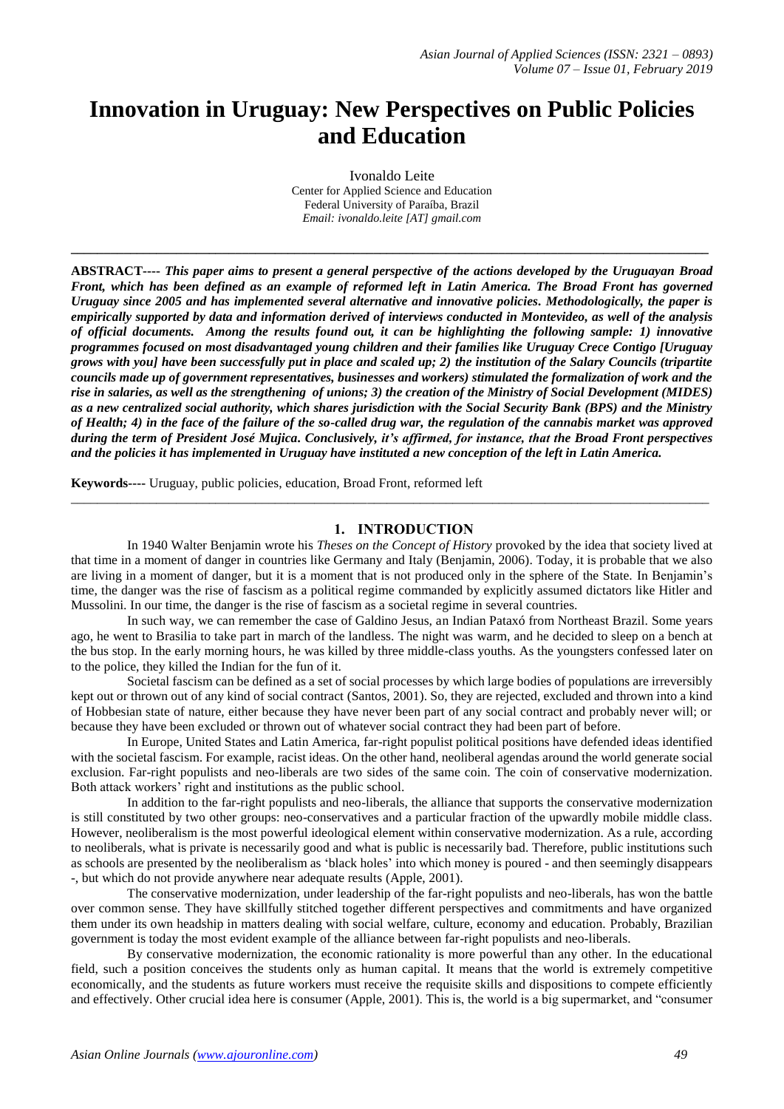# **Innovation in Uruguay: New Perspectives on Public Policies and Education**

Ivonaldo Leite Center for Applied Science and Education Federal University of Paraíba, Brazil *Email: ivonaldo.leite [AT] gmail.com*

**\_\_\_\_\_\_\_\_\_\_\_\_\_\_\_\_\_\_\_\_\_\_\_\_\_\_\_\_\_\_\_\_\_\_\_\_\_\_\_\_\_\_\_\_\_\_\_\_\_\_\_\_\_\_\_\_\_\_\_\_\_\_\_\_\_\_\_\_\_\_\_\_\_\_\_\_\_\_\_\_\_\_\_\_\_\_\_\_\_\_\_\_\_\_\_\_\_**

**ABSTRACT----** *This paper aims to present a general perspective of the actions developed by the Uruguayan Broad Front, which has been defined as an example of reformed left in Latin America. The Broad Front has governed Uruguay since 2005 and has implemented several alternative and innovative policies. Methodologically, the paper is empirically supported by data and information derived of interviews conducted in Montevideo, as well of the analysis of official documents. Among the results found out, it can be highlighting the following sample: 1) innovative programmes focused on most disadvantaged young children and their families like Uruguay Crece Contigo [Uruguay grows with you] have been successfully put in place and scaled up; 2) the institution of the Salary Councils (tripartite councils made up of government representatives, businesses and workers) stimulated the formalization of work and the rise in salaries, as well as the strengthening of unions; 3) the creation of the Ministry of Social Development (MIDES) as a new centralized social authority, which shares jurisdiction with the Social Security Bank (BPS) and the Ministry of Health; 4) in the face of the failure of the so-called drug war, the regulation of the cannabis market was approved during the term of President José Mujica. Conclusively, it's affirmed, for instance, that the Broad Front perspectives and the policies it has implemented in Uruguay have instituted a new conception of the left in Latin America.*

**Keywords----** Uruguay, public policies, education*,* Broad Front, reformed left

## **1. INTRODUCTION**

In 1940 Walter Benjamin wrote his *Theses on the Concept of History* provoked by the idea that society lived at that time in a moment of danger in countries like Germany and Italy (Benjamin, 2006). Today, it is probable that we also are living in a moment of danger, but it is a moment that is not produced only in the sphere of the State. In Benjamin's time, the danger was the rise of fascism as a political regime commanded by explicitly assumed dictators like Hitler and Mussolini. In our time, the danger is the rise of fascism as a societal regime in several countries.

\_\_\_\_\_\_\_\_\_\_\_\_\_\_\_\_\_\_\_\_\_\_\_\_\_\_\_\_\_\_\_\_\_\_\_\_\_\_\_\_\_\_\_\_\_\_\_\_\_\_\_\_\_\_\_\_\_\_\_\_\_\_\_\_\_\_\_\_\_\_\_\_\_\_\_\_\_\_\_\_\_\_\_\_\_\_\_\_\_\_\_\_\_\_\_\_\_

In such way, we can remember the case of Galdino Jesus, an Indian Pataxó from Northeast Brazil. Some years ago, he went to Brasilia to take part in march of the landless. The night was warm, and he decided to sleep on a bench at the bus stop. In the early morning hours, he was killed by three middle-class youths. As the youngsters confessed later on to the police, they killed the Indian for the fun of it.

Societal fascism can be defined as a set of social processes by which large bodies of populations are irreversibly kept out or thrown out of any kind of social contract (Santos, 2001). So, they are rejected, excluded and thrown into a kind of Hobbesian state of nature, either because they have never been part of any social contract and probably never will; or because they have been excluded or thrown out of whatever social contract they had been part of before.

In Europe, United States and Latin America, far-right populist political positions have defended ideas identified with the societal fascism. For example, racist ideas. On the other hand, neoliberal agendas around the world generate social exclusion. Far-right populists and neo-liberals are two sides of the same coin. The coin of conservative modernization. Both attack workers' right and institutions as the public school.

In addition to the far-right populists and neo-liberals, the alliance that supports the conservative modernization is still constituted by two other groups: neo-conservatives and a particular fraction of the upwardly mobile middle class. However, neoliberalism is the most powerful ideological element within conservative modernization. As a rule, according to neoliberals, what is private is necessarily good and what is public is necessarily bad. Therefore, public institutions such as schools are presented by the neoliberalism as 'black holes' into which money is poured - and then seemingly disappears -, but which do not provide anywhere near adequate results (Apple, 2001).

The conservative modernization, under leadership of the far-right populists and neo-liberals, has won the battle over common sense. They have skillfully stitched together different perspectives and commitments and have organized them under its own headship in matters dealing with social welfare, culture, economy and education. Probably, Brazilian government is today the most evident example of the alliance between far-right populists and neo-liberals.

By conservative modernization, the economic rationality is more powerful than any other. In the educational field, such a position conceives the students only as human capital. It means that the world is extremely competitive economically, and the students as future workers must receive the requisite skills and dispositions to compete efficiently and effectively. Other crucial idea here is consumer (Apple, 2001). This is, the world is a big supermarket, and "consumer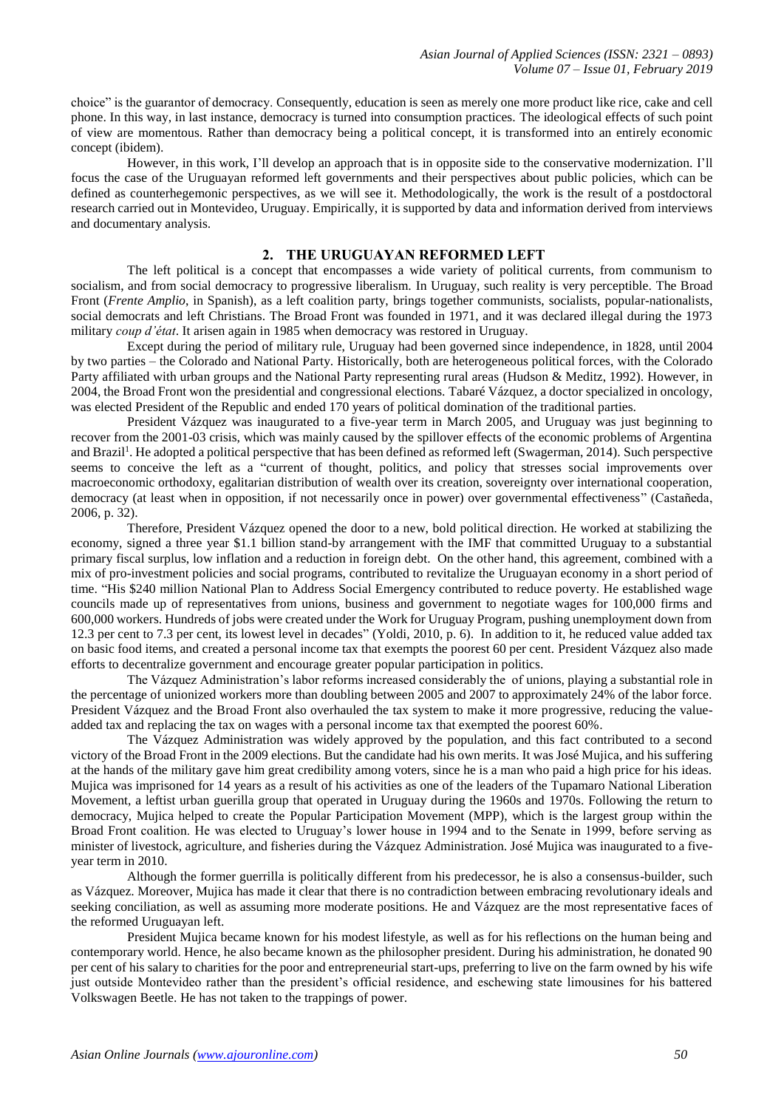choice" is the guarantor of democracy. Consequently, education is seen as merely one more product like rice, cake and cell phone. In this way, in last instance, democracy is turned into consumption practices. The ideological effects of such point of view are momentous. Rather than democracy being a political concept, it is transformed into an entirely economic concept (ibidem).

However, in this work, I'll develop an approach that is in opposite side to the conservative modernization. I'll focus the case of the Uruguayan reformed left governments and their perspectives about public policies, which can be defined as counterhegemonic perspectives, as we will see it. Methodologically, the work is the result of a postdoctoral research carried out in Montevideo, Uruguay. Empirically, it is supported by data and information derived from interviews and documentary analysis.

## **2. THE URUGUAYAN REFORMED LEFT**

The left political is a concept that encompasses a wide variety of political currents, from communism to socialism, and from social democracy to progressive liberalism. In Uruguay, such reality is very perceptible. The Broad Front (*Frente Amplio*, in Spanish), as a left coalition party, brings together communists, socialists, popular-nationalists, social democrats and left Christians. The Broad Front was founded in 1971, and it was declared illegal during the 1973 military *coup d'état*. It arisen again in 1985 when democracy was restored in Uruguay.

Except during the period of military rule, Uruguay had been governed since independence, in 1828, until 2004 by two parties – the Colorado and National Party. Historically, both are heterogeneous political forces, with the Colorado Party affiliated with urban groups and the National Party representing rural areas (Hudson & Meditz, 1992). However, in 2004, the Broad Front won the presidential and congressional elections. Tabaré Vázquez, a doctor specialized in oncology, was elected President of the Republic and ended 170 years of political domination of the traditional parties.

President Vázquez was inaugurated to a five-year term in March 2005, and Uruguay was just beginning to recover from the 2001-03 crisis, which was mainly caused by the spillover effects of the economic problems of Argentina and Brazil<sup>1</sup>. He adopted a political perspective that has been defined as reformed left (Swagerman, 2014). Such perspective seems to conceive the left as a "current of thought, politics, and policy that stresses social improvements over macroeconomic orthodoxy, egalitarian distribution of wealth over its creation, sovereignty over international cooperation, democracy (at least when in opposition, if not necessarily once in power) over governmental effectiveness" (Castañeda, 2006, p. 32).

Therefore, President Vázquez opened the door to a new, bold political direction. He worked at stabilizing the economy, signed a three year \$1.1 billion stand-by arrangement with the IMF that committed Uruguay to a substantial primary fiscal surplus, low inflation and a reduction in foreign debt. On the other hand, this agreement, combined with a mix of pro-investment policies and social programs, contributed to revitalize the Uruguayan economy in a short period of time. "His \$240 million National Plan to Address Social Emergency contributed to reduce poverty. He established wage councils made up of representatives from unions, business and government to negotiate wages for 100,000 firms and 600,000 workers. Hundreds of jobs were created under the Work for Uruguay Program, pushing unemployment down from 12.3 per cent to 7.3 per cent, its lowest level in decades" (Yoldi, 2010, p. 6). In addition to it, he reduced value added tax on basic food items, and created a personal income tax that exempts the poorest 60 per cent. President Vázquez also made efforts to decentralize government and encourage greater popular participation in politics.

The Vázquez Administration's labor reforms increased considerably the of unions, playing a substantial role in the percentage of unionized workers more than doubling between 2005 and 2007 to approximately 24% of the labor force. President Vázquez and the Broad Front also overhauled the tax system to make it more progressive, reducing the valueadded tax and replacing the tax on wages with a personal income tax that exempted the poorest 60%.

The Vázquez Administration was widely approved by the population, and this fact contributed to a second victory of the Broad Front in the 2009 elections. But the candidate had his own merits. It was José Mujica, and his suffering at the hands of the military gave him great credibility among voters, since he is a man who paid a high price for his ideas. Mujica was imprisoned for 14 years as a result of his activities as one of the leaders of the Tupamaro National Liberation Movement, a leftist urban guerilla group that operated in Uruguay during the 1960s and 1970s. Following the return to democracy, Mujica helped to create the Popular Participation Movement (MPP), which is the largest group within the Broad Front coalition. He was elected to Uruguay's lower house in 1994 and to the Senate in 1999, before serving as minister of livestock, agriculture, and fisheries during the Vázquez Administration. José Mujica was inaugurated to a fiveyear term in 2010.

Although the former guerrilla is politically different from his predecessor, he is also a consensus-builder, such as Vázquez. Moreover, Mujica has made it clear that there is no contradiction between embracing revolutionary ideals and seeking conciliation, as well as assuming more moderate positions. He and Vázquez are the most representative faces of the reformed Uruguayan left.

President Mujica became known for his modest lifestyle, as well as for his reflections on the human being and contemporary world. Hence, he also became known as the philosopher president. During his administration, he donated 90 per cent of his salary to charities for the poor and entrepreneurial start-ups, preferring to live on the farm owned by his wife just outside Montevideo rather than the president's official residence, and eschewing state limousines for his battered Volkswagen Beetle. He has not taken to the trappings of power.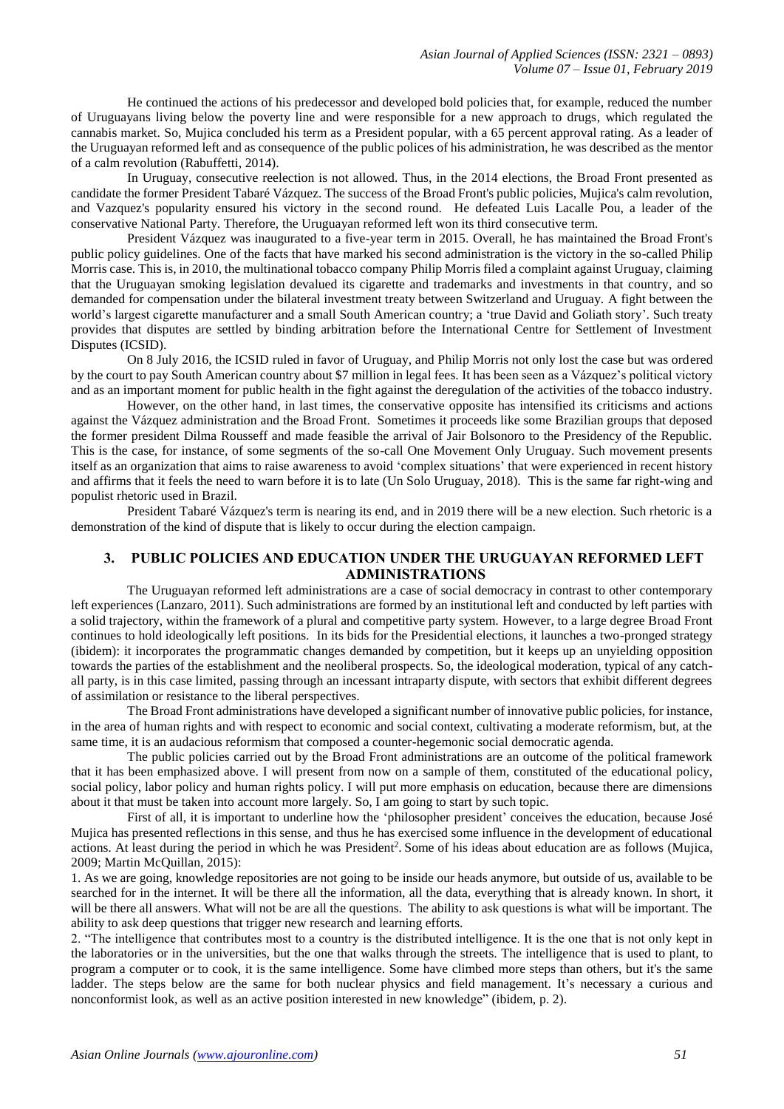He continued the actions of his predecessor and developed bold policies that, for example, reduced the number of Uruguayans living below the poverty line and were responsible for a new approach to drugs, which regulated the cannabis market. So, Mujica concluded his term as a President popular, with a 65 percent approval rating. As a leader of the Uruguayan reformed left and as consequence of the public polices of his administration, he was described as the mentor of a calm revolution (Rabuffetti, 2014).

In Uruguay, consecutive reelection is not allowed. Thus, in the 2014 elections, the Broad Front presented as candidate the former President Tabaré Vázquez. The success of the Broad Front's public policies, Mujica's calm revolution, and Vazquez's popularity ensured his victory in the second round. He defeated Luis Lacalle Pou, a leader of the conservative National Party. Therefore, the Uruguayan reformed left won its third consecutive term.

President Vázquez was inaugurated to a five-year term in 2015. Overall, he has maintained the Broad Front's public policy guidelines. One of the facts that have marked his second administration is the victory in the so-called Philip Morris case. This is, in 2010, the multinational tobacco company Philip Morris filed a complaint against Uruguay, claiming that the Uruguayan smoking legislation devalued its cigarette and trademarks and investments in that country, and so demanded for compensation under the bilateral investment treaty between Switzerland and Uruguay. A fight between the world's largest cigarette manufacturer and a small South American country; a 'true David and Goliath story'. Such treaty provides that disputes are settled by binding arbitration before the International Centre for Settlement of Investment Disputes (ICSID).

On 8 July 2016, the ICSID ruled in favor of Uruguay, and Philip Morris not only lost the case but was ordered by the court to pay South American country about \$7 million in legal fees. It has been seen as a Vázquez's political victory and as an important moment for public health in the fight against the deregulation of the activities of the tobacco industry.

However, on the other hand, in last times, the conservative opposite has intensified its criticisms and actions against the Vázquez administration and the Broad Front. Sometimes it proceeds like some Brazilian groups that deposed the former president Dilma Rousseff and made feasible the arrival of Jair Bolsonoro to the Presidency of the Republic. This is the case, for instance, of some segments of the so-call One Movement Only Uruguay. Such movement presents itself as an organization that aims to raise awareness to avoid 'complex situations' that were experienced in recent history and affirms that it feels the need to warn before it is to late (Un Solo Uruguay, 2018). This is the same far right-wing and populist rhetoric used in Brazil.

President Tabaré Vázquez's term is nearing its end, and in 2019 there will be a new election. Such rhetoric is a demonstration of the kind of dispute that is likely to occur during the election campaign.

## **3. PUBLIC POLICIES AND EDUCATION UNDER THE URUGUAYAN REFORMED LEFT ADMINISTRATIONS**

The Uruguayan reformed left administrations are a case of social democracy in contrast to other contemporary left experiences (Lanzaro, 2011). Such administrations are formed by an institutional left and conducted by left parties with a solid trajectory, within the framework of a plural and competitive party system. However, to a large degree Broad Front continues to hold ideologically left positions. In its bids for the Presidential elections, it launches a two-pronged strategy (ibidem): it incorporates the programmatic changes demanded by competition, but it keeps up an unyielding opposition towards the parties of the establishment and the neoliberal prospects. So, the ideological moderation, typical of any catchall party, is in this case limited, passing through an incessant intraparty dispute, with sectors that exhibit different degrees of assimilation or resistance to the liberal perspectives.

The Broad Front administrations have developed a significant number of innovative public policies, for instance, in the area of human rights and with respect to economic and social context, cultivating a moderate reformism, but, at the same time, it is an audacious reformism that composed a counter-hegemonic social democratic agenda.

The public policies carried out by the Broad Front administrations are an outcome of the political framework that it has been emphasized above. I will present from now on a sample of them, constituted of the educational policy, social policy, labor policy and human rights policy. I will put more emphasis on education, because there are dimensions about it that must be taken into account more largely. So, I am going to start by such topic.

First of all, it is important to underline how the 'philosopher president' conceives the education, because José Mujica has presented reflections in this sense, and thus he has exercised some influence in the development of educational actions. At least during the period in which he was President<sup>2</sup>. Some of his ideas about education are as follows (Mujica, 2009; Martin McQuillan, 2015):

1. As we are going, knowledge repositories are not going to be inside our heads anymore, but outside of us, available to be searched for in the internet. It will be there all the information, all the data, everything that is already known. In short, it will be there all answers. What will not be are all the questions. The ability to ask questions is what will be important. The ability to ask deep questions that trigger new research and learning efforts.

2. "The intelligence that contributes most to a country is the distributed intelligence. It is the one that is not only kept in the laboratories or in the universities, but the one that walks through the streets. The intelligence that is used to plant, to program a computer or to cook, it is the same intelligence. Some have climbed more steps than others, but it's the same ladder. The steps below are the same for both nuclear physics and field management. It's necessary a curious and nonconformist look, as well as an active position interested in new knowledge" (ibidem, p. 2).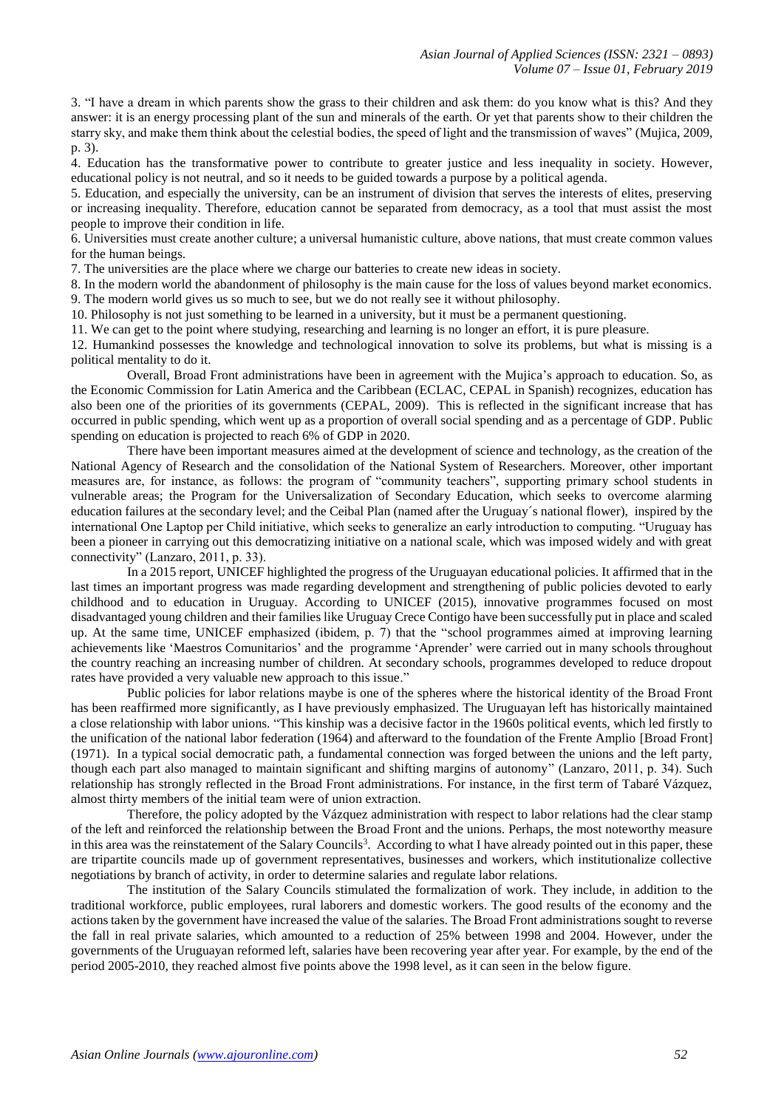3. "I have a dream in which parents show the grass to their children and ask them: do you know what is this? And they answer: it is an energy processing plant of the sun and minerals of the earth. Or yet that parents show to their children the starry sky, and make them think about the celestial bodies, the speed of light and the transmission of waves" (Mujica, 2009, p. 3).

4. Education has the transformative power to contribute to greater justice and less inequality in society. However, educational policy is not neutral, and so it needs to be guided towards a purpose by a political agenda.

5. Education, and especially the university, can be an instrument of division that serves the interests of elites, preserving or increasing inequality. Therefore, education cannot be separated from democracy, as a tool that must assist the most people to improve their condition in life.

6. Universities must create another culture; a universal humanistic culture, above nations, that must create common values for the human beings.

7. The universities are the place where we charge our batteries to create new ideas in society.

8. In the modern world the abandonment of philosophy is the main cause for the loss of values beyond market economics. 9. The modern world gives us so much to see, but we do not really see it without philosophy.

10. Philosophy is not just something to be learned in a university, but it must be a permanent questioning.

11. We can get to the point where studying, researching and learning is no longer an effort, it is pure pleasure.

12. Humankind possesses the knowledge and technological innovation to solve its problems, but what is missing is a political mentality to do it.

Overall, Broad Front administrations have been in agreement with the Mujica's approach to education. So, as the Economic Commission for Latin America and the Caribbean (ECLAC, CEPAL in Spanish) recognizes, education has also been one of the priorities of its governments (CEPAL, 2009). This is reflected in the significant increase that has occurred in public spending, which went up as a proportion of overall social spending and as a percentage of GDP. Public spending on education is projected to reach 6% of GDP in 2020.

There have been important measures aimed at the development of science and technology, as the creation of the National Agency of Research and the consolidation of the National System of Researchers. Moreover, other important measures are, for instance, as follows: the program of "community teachers", supporting primary school students in vulnerable areas; the Program for the Universalization of Secondary Education, which seeks to overcome alarming education failures at the secondary level; and the Ceibal Plan (named after the Uruguay´s national flower), inspired by the international One Laptop per Child initiative, which seeks to generalize an early introduction to computing. "Uruguay has been a pioneer in carrying out this democratizing initiative on a national scale, which was imposed widely and with great connectivity" (Lanzaro, 2011, p. 33).

In a 2015 report, UNICEF highlighted the progress of the Uruguayan educational policies. It affirmed that in the last times an important progress was made regarding development and strengthening of public policies devoted to early childhood and to education in Uruguay. According to UNICEF (2015), innovative programmes focused on most disadvantaged young children and their families like Uruguay Crece Contigo have been successfully put in place and scaled up. At the same time, UNICEF emphasized (ibidem, p. 7) that the "school programmes aimed at improving learning achievements like 'Maestros Comunitarios' and the programme 'Aprender' were carried out in many schools throughout the country reaching an increasing number of children. At secondary schools, programmes developed to reduce dropout rates have provided a very valuable new approach to this issue."

Public policies for labor relations maybe is one of the spheres where the historical identity of the Broad Front has been reaffirmed more significantly, as I have previously emphasized. The Uruguayan left has historically maintained a close relationship with labor unions. "This kinship was a decisive factor in the 1960s political events, which led firstly to the unification of the national labor federation (1964) and afterward to the foundation of the Frente Amplio [Broad Front] (1971). In a typical social democratic path, a fundamental connection was forged between the unions and the left party, though each part also managed to maintain significant and shifting margins of autonomy" (Lanzaro, 2011, p. 34). Such relationship has strongly reflected in the Broad Front administrations. For instance, in the first term of Tabaré Vázquez, almost thirty members of the initial team were of union extraction.

Therefore, the policy adopted by the Vázquez administration with respect to labor relations had the clear stamp of the left and reinforced the relationship between the Broad Front and the unions. Perhaps, the most noteworthy measure in this area was the reinstatement of the Salary Councils<sup>3</sup>. According to what I have already pointed out in this paper, these are tripartite councils made up of government representatives, businesses and workers, which institutionalize collective negotiations by branch of activity, in order to determine salaries and regulate labor relations.

The institution of the Salary Councils stimulated the formalization of work. They include, in addition to the traditional workforce, public employees, rural laborers and domestic workers. The good results of the economy and the actions taken by the government have increased the value of the salaries. The Broad Front administrations sought to reverse the fall in real private salaries, which amounted to a reduction of 25% between 1998 and 2004. However, under the governments of the Uruguayan reformed left, salaries have been recovering year after year. For example, by the end of the period 2005-2010, they reached almost five points above the 1998 level, as it can seen in the below figure.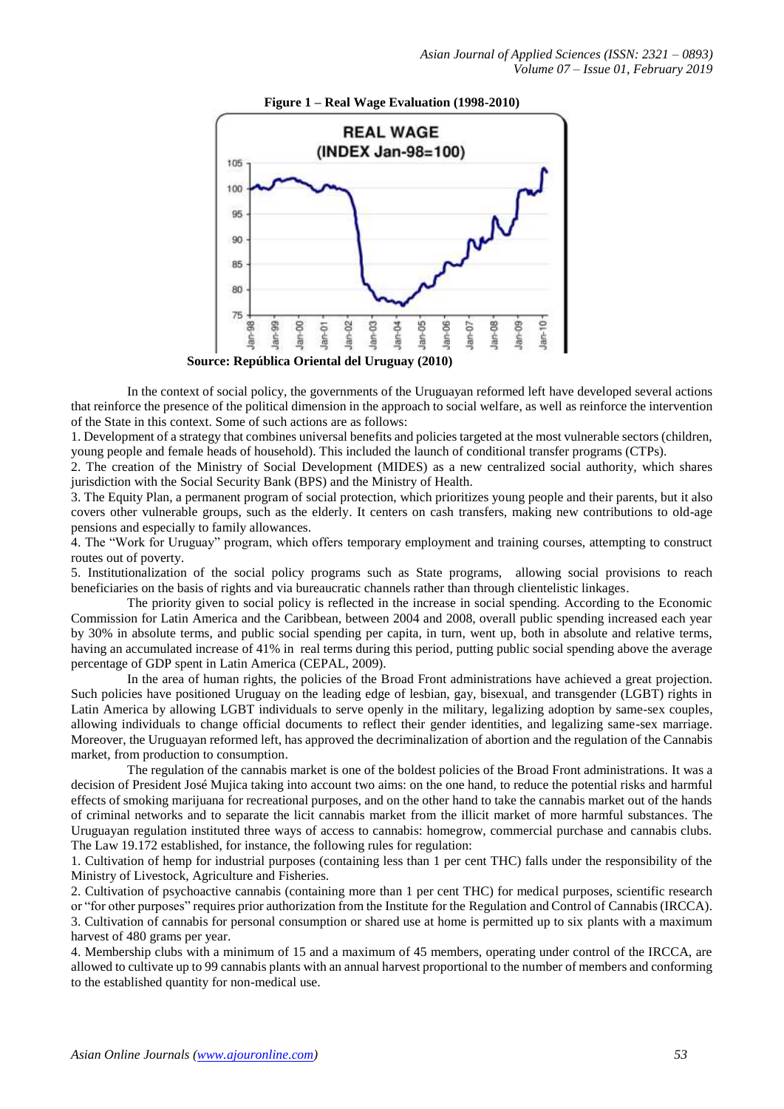

In the context of social policy, the governments of the Uruguayan reformed left have developed several actions that reinforce the presence of the political dimension in the approach to social welfare, as well as reinforce the intervention of the State in this context. Some of such actions are as follows:

1. Development of a strategy that combines universal benefits and policies targeted at the most vulnerable sectors (children, young people and female heads of household). This included the launch of conditional transfer programs (CTPs).

2. The creation of the Ministry of Social Development (MIDES) as a new centralized social authority, which shares jurisdiction with the Social Security Bank (BPS) and the Ministry of Health.

3. The Equity Plan, a permanent program of social protection, which prioritizes young people and their parents, but it also covers other vulnerable groups, such as the elderly. It centers on cash transfers, making new contributions to old-age pensions and especially to family allowances.

4. The "Work for Uruguay" program, which offers temporary employment and training courses, attempting to construct routes out of poverty.

5. Institutionalization of the social policy programs such as State programs, allowing social provisions to reach beneficiaries on the basis of rights and via bureaucratic channels rather than through clientelistic linkages.

The priority given to social policy is reflected in the increase in social spending. According to the Economic Commission for Latin America and the Caribbean, between 2004 and 2008, overall public spending increased each year by 30% in absolute terms, and public social spending per capita, in turn, went up, both in absolute and relative terms, having an accumulated increase of 41% in real terms during this period, putting public social spending above the average percentage of GDP spent in Latin America (CEPAL, 2009).

In the area of human rights, the policies of the Broad Front administrations have achieved a great projection. Such policies have positioned Uruguay on the leading edge of lesbian, gay, bisexual, and transgender (LGBT) rights in Latin America by allowing LGBT individuals to serve openly in the military, legalizing adoption by same-sex couples, allowing individuals to change official documents to reflect their gender identities, and legalizing same-sex marriage. Moreover, the Uruguayan reformed left, has approved the decriminalization of abortion and the regulation of the Cannabis market, from production to consumption.

The regulation of the cannabis market is one of the boldest policies of the Broad Front administrations. It was a decision of President José Mujica taking into account two aims: on the one hand, to reduce the potential risks and harmful effects of smoking marijuana for recreational purposes, and on the other hand to take the cannabis market out of the hands of criminal networks and to separate the licit cannabis market from the illicit market of more harmful substances. The Uruguayan regulation instituted three ways of access to cannabis: homegrow, commercial purchase and cannabis clubs. The Law 19.172 established, for instance, the following rules for regulation:

1. Cultivation of hemp for industrial purposes (containing less than 1 per cent THC) falls under the responsibility of the Ministry of Livestock, Agriculture and Fisheries.

2. Cultivation of psychoactive cannabis (containing more than 1 per cent THC) for medical purposes, scientific research or "for other purposes" requires prior authorization from the Institute for the Regulation and Control of Cannabis (IRCCA). 3. Cultivation of cannabis for personal consumption or shared use at home is permitted up to six plants with a maximum harvest of 480 grams per year.

4. Membership clubs with a minimum of 15 and a maximum of 45 members, operating under control of the IRCCA, are allowed to cultivate up to 99 cannabis plants with an annual harvest proportional to the number of members and conforming to the established quantity for non-medical use.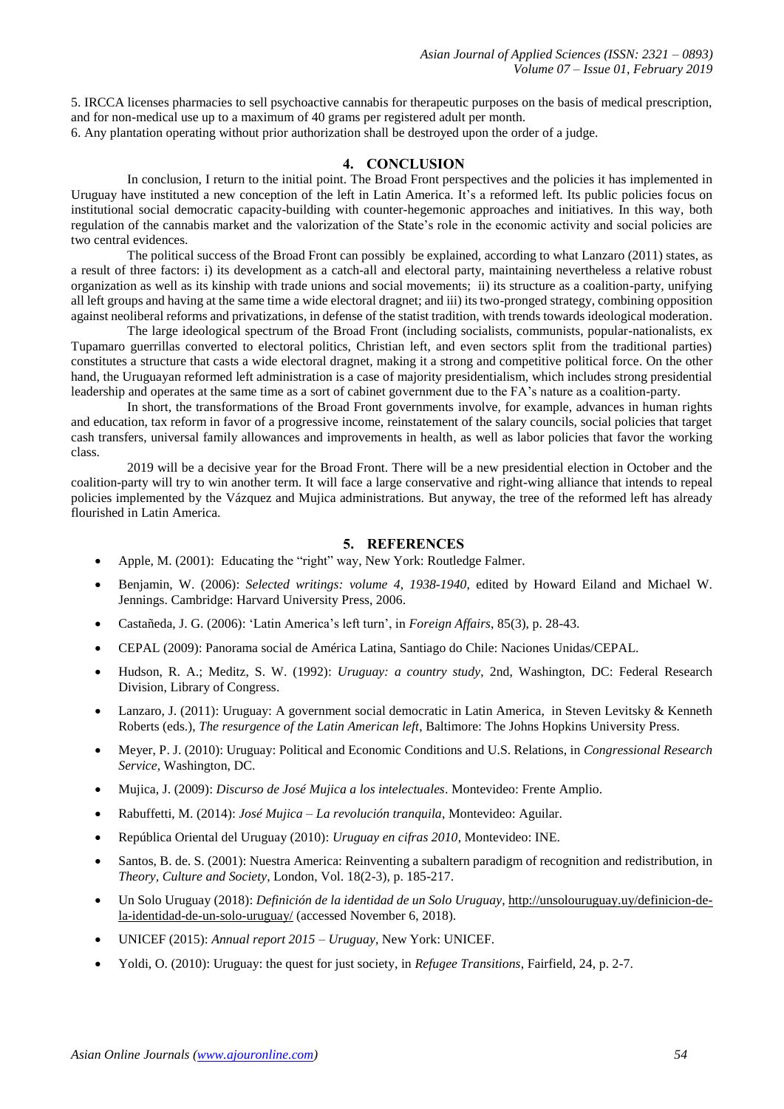5. IRCCA licenses pharmacies to sell psychoactive cannabis for therapeutic purposes on the basis of medical prescription, and for non-medical use up to a maximum of 40 grams per registered adult per month.

6. Any plantation operating without prior authorization shall be destroyed upon the order of a judge.

## **4. CONCLUSION**

In conclusion, I return to the initial point. The Broad Front perspectives and the policies it has implemented in Uruguay have instituted a new conception of the left in Latin America. It's a reformed left. Its public policies focus on institutional social democratic capacity-building with counter-hegemonic approaches and initiatives. In this way, both regulation of the cannabis market and the valorization of the State's role in the economic activity and social policies are two central evidences.

The political success of the Broad Front can possibly be explained, according to what Lanzaro (2011) states, as a result of three factors: i) its development as a catch-all and electoral party, maintaining nevertheless a relative robust organization as well as its kinship with trade unions and social movements; ii) its structure as a coalition-party, unifying all left groups and having at the same time a wide electoral dragnet; and iii) its two-pronged strategy, combining opposition against neoliberal reforms and privatizations, in defense of the statist tradition, with trends towards ideological moderation.

The large ideological spectrum of the Broad Front (including socialists, communists, popular-nationalists, ex Tupamaro guerrillas converted to electoral politics, Christian left, and even sectors split from the traditional parties) constitutes a structure that casts a wide electoral dragnet, making it a strong and competitive political force. On the other hand, the Uruguayan reformed left administration is a case of majority presidentialism, which includes strong presidential leadership and operates at the same time as a sort of cabinet government due to the FA's nature as a coalition-party.

In short, the transformations of the Broad Front governments involve, for example, advances in human rights and education, tax reform in favor of a progressive income, reinstatement of the salary councils, social policies that target cash transfers, universal family allowances and improvements in health, as well as labor policies that favor the working class.

2019 will be a decisive year for the Broad Front. There will be a new presidential election in October and the coalition-party will try to win another term. It will face a large conservative and right-wing alliance that intends to repeal policies implemented by the Vázquez and Mujica administrations. But anyway, the tree of the reformed left has already flourished in Latin America.

## **5. REFERENCES**

- Apple, M. (2001): Educating the "right" way, New York: Routledge Falmer.
- Benjamin, W. (2006): *Selected writings: volume 4, 1938-1940*, edited by Howard Eiland and Michael W. Jennings. Cambridge: Harvard University Press, 2006.
- Castañeda, J. G. (2006): 'Latin America's left turn', in *Foreign Affairs*, 85(3), p. 28-43.
- CEPAL (2009): Panorama social de América Latina, Santiago do Chile: Naciones Unidas/CEPAL.
- Hudson, R. A.; Meditz, S. W. (1992): *Uruguay: a country study*, 2nd, Washington, DC: Federal Research Division, Library of Congress.
- Lanzaro, J. (2011): Uruguay: A government social democratic in Latin America, in Steven Levitsky & Kenneth Roberts (eds.), *The resurgence of the Latin American left*, Baltimore: The Johns Hopkins University Press.
- Meyer, P. J. (2010): Uruguay: Political and Economic Conditions and U.S. Relations, in *Congressional Research Service*, Washington, DC.
- Mujica, J. (2009): *Discurso de José Mujica a los intelectuales*. Montevideo: Frente Amplio.
- Rabuffetti, M. (2014): *José Mujica – La revolución tranquila*, Montevideo: Aguilar.
- República Oriental del Uruguay (2010): *Uruguay en cifras 2010*, Montevideo: INE.
- Santos, B. de. S. (2001): Nuestra America: Reinventing a subaltern paradigm of recognition and redistribution, in *Theory, Culture and Society*, London, Vol. 18(2-3), p. 185-217.
- Un Solo Uruguay (2018): *Definición de la identidad de un Solo Uruguay*, [http://unsolouruguay.uy/definicion-de](http://unsolouruguay.uy/definicion-de-la-identidad-de-un-solo-uruguay/)[la-identidad-de-un-solo-uruguay/](http://unsolouruguay.uy/definicion-de-la-identidad-de-un-solo-uruguay/) (accessed November 6, 2018).
- UNICEF (2015): *Annual report 2015 – Uruguay*, New York: UNICEF.
- Yoldi, O. (2010): Uruguay: the quest for just society, in *Refugee Transitions*, Fairfield, 24, p. 2-7.